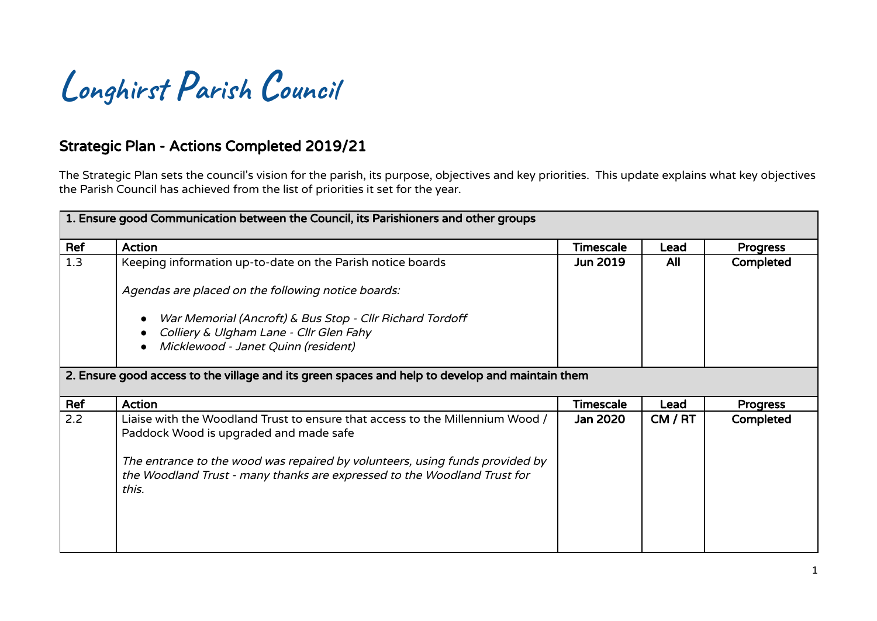

## Strategic Plan - Actions Completed 2019/21

The Strategic Plan sets the council's vision for the parish, its purpose, objectives and key priorities. This update explains what key objectives the Parish Council has achieved from the list of priorities it set for the year.

| 1. Ensure good Communication between the Council, its Parishioners and other groups             |                                                                                                                                                                   |                  |         |                 |
|-------------------------------------------------------------------------------------------------|-------------------------------------------------------------------------------------------------------------------------------------------------------------------|------------------|---------|-----------------|
| Ref                                                                                             | <b>Action</b>                                                                                                                                                     | Timescale        | Lead    | <b>Progress</b> |
| 1.3                                                                                             | Keeping information up-to-date on the Parish notice boards                                                                                                        | <b>Jun 2019</b>  | All     | Completed       |
|                                                                                                 | Agendas are placed on the following notice boards:                                                                                                                |                  |         |                 |
|                                                                                                 | War Memorial (Ancroft) & Bus Stop - Cllr Richard Tordoff                                                                                                          |                  |         |                 |
|                                                                                                 | Colliery & Ulgham Lane - Cllr Glen Fahy<br>Micklewood - Janet Quinn (resident)                                                                                    |                  |         |                 |
| 2. Ensure good access to the village and its green spaces and help to develop and maintain them |                                                                                                                                                                   |                  |         |                 |
| Ref                                                                                             | <b>Action</b>                                                                                                                                                     | <b>Timescale</b> | Lead    | <b>Progress</b> |
| 2.2                                                                                             | Liaise with the Woodland Trust to ensure that access to the Millennium Wood /<br>Paddock Wood is upgraded and made safe                                           | Jan 2020         | CM / RT | Completed       |
|                                                                                                 | The entrance to the wood was repaired by volunteers, using funds provided by<br>the Woodland Trust - many thanks are expressed to the Woodland Trust for<br>this. |                  |         |                 |
|                                                                                                 |                                                                                                                                                                   |                  |         |                 |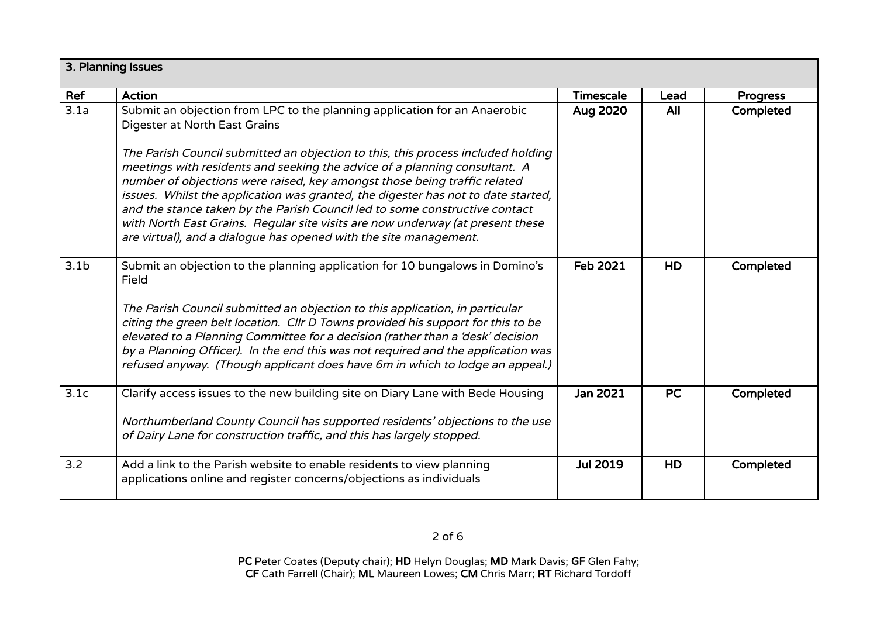| 3. Planning Issues |                                                                                                                                                                                                                                                                                                                                                                                                                                                                                                                                                                        |                  |           |                 |
|--------------------|------------------------------------------------------------------------------------------------------------------------------------------------------------------------------------------------------------------------------------------------------------------------------------------------------------------------------------------------------------------------------------------------------------------------------------------------------------------------------------------------------------------------------------------------------------------------|------------------|-----------|-----------------|
| Ref                | <b>Action</b>                                                                                                                                                                                                                                                                                                                                                                                                                                                                                                                                                          | <b>Timescale</b> | Lead      | <b>Progress</b> |
| 3.1a               | Submit an objection from LPC to the planning application for an Anaerobic<br>Digester at North East Grains                                                                                                                                                                                                                                                                                                                                                                                                                                                             | Aug 2020         | All       | Completed       |
|                    | The Parish Council submitted an objection to this, this process included holding<br>meetings with residents and seeking the advice of a planning consultant. A<br>number of objections were raised, key amongst those being traffic related<br>issues. Whilst the application was granted, the digester has not to date started,<br>and the stance taken by the Parish Council led to some constructive contact<br>with North East Grains. Regular site visits are now underway (at present these<br>are virtual), and a dialogue has opened with the site management. |                  |           |                 |
| 3.1 <sub>b</sub>   | Submit an objection to the planning application for 10 bungalows in Domino's<br>Field<br>The Parish Council submitted an objection to this application, in particular<br>citing the green belt location. Cllr D Towns provided his support for this to be<br>elevated to a Planning Committee for a decision (rather than a 'desk' decision<br>by a Planning Officer). In the end this was not required and the application was<br>refused anyway. (Though applicant does have 6m in which to lodge an appeal.)                                                        | Feb 2021         | <b>HD</b> | Completed       |
| 3.1c               | Clarify access issues to the new building site on Diary Lane with Bede Housing                                                                                                                                                                                                                                                                                                                                                                                                                                                                                         | Jan 2021         | <b>PC</b> | Completed       |
|                    | Northumberland County Council has supported residents' objections to the use<br>of Dairy Lane for construction traffic, and this has largely stopped.                                                                                                                                                                                                                                                                                                                                                                                                                  |                  |           |                 |
| 3.2                | Add a link to the Parish website to enable residents to view planning<br>applications online and register concerns/objections as individuals                                                                                                                                                                                                                                                                                                                                                                                                                           | <b>Jul 2019</b>  | HD        | Completed       |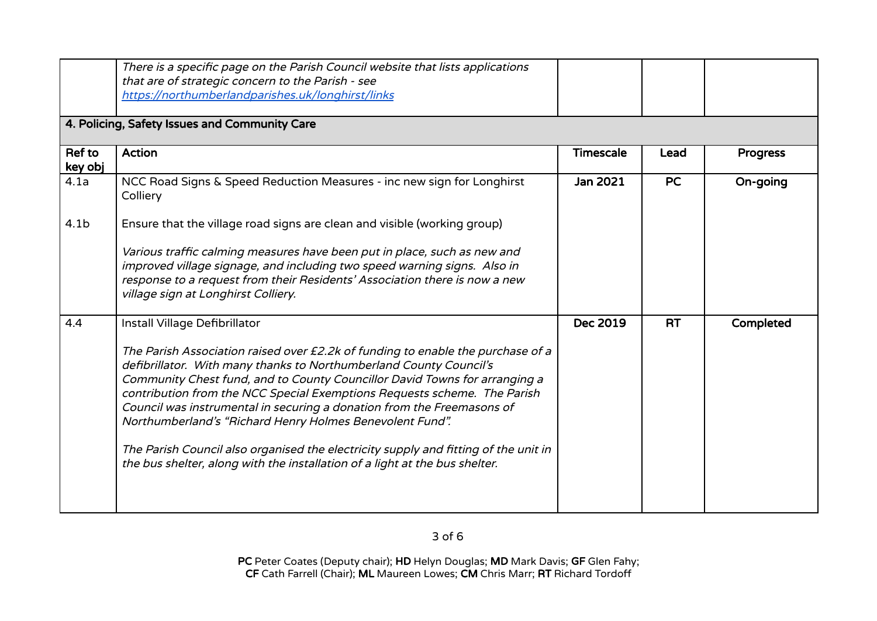|                   | There is a specific page on the Parish Council website that lists applications<br>that are of strategic concern to the Parish - see                                                                                                                                                                                                                                                                                                                                                                                                                                                                                         |                  |           |                 |
|-------------------|-----------------------------------------------------------------------------------------------------------------------------------------------------------------------------------------------------------------------------------------------------------------------------------------------------------------------------------------------------------------------------------------------------------------------------------------------------------------------------------------------------------------------------------------------------------------------------------------------------------------------------|------------------|-----------|-----------------|
|                   | https://northumberlandparishes.uk/longhirst/links                                                                                                                                                                                                                                                                                                                                                                                                                                                                                                                                                                           |                  |           |                 |
|                   | 4. Policing, Safety Issues and Community Care                                                                                                                                                                                                                                                                                                                                                                                                                                                                                                                                                                               |                  |           |                 |
| Ref to<br>key obj | <b>Action</b>                                                                                                                                                                                                                                                                                                                                                                                                                                                                                                                                                                                                               | <b>Timescale</b> | Lead      | <b>Progress</b> |
| 4.1a              | NCC Road Signs & Speed Reduction Measures - inc new sign for Longhirst<br>Colliery                                                                                                                                                                                                                                                                                                                                                                                                                                                                                                                                          | <b>Jan 2021</b>  | <b>PC</b> | On-going        |
| 4.1 <sub>b</sub>  | Ensure that the village road signs are clean and visible (working group)                                                                                                                                                                                                                                                                                                                                                                                                                                                                                                                                                    |                  |           |                 |
|                   | Various traffic calming measures have been put in place, such as new and<br>improved village signage, and including two speed warning signs. Also in<br>response to a request from their Residents' Association there is now a new<br>village sign at Longhirst Colliery.                                                                                                                                                                                                                                                                                                                                                   |                  |           |                 |
| 4.4               | Install Village Defibrillator                                                                                                                                                                                                                                                                                                                                                                                                                                                                                                                                                                                               | Dec 2019         | <b>RT</b> | Completed       |
|                   | The Parish Association raised over £2.2k of funding to enable the purchase of a<br>defibrillator. With many thanks to Northumberland County Council's<br>Community Chest fund, and to County Councillor David Towns for arranging a<br>contribution from the NCC Special Exemptions Requests scheme. The Parish<br>Council was instrumental in securing a donation from the Freemasons of<br>Northumberland's "Richard Henry Holmes Benevolent Fund".<br>The Parish Council also organised the electricity supply and fitting of the unit in<br>the bus shelter, along with the installation of a light at the bus shelter. |                  |           |                 |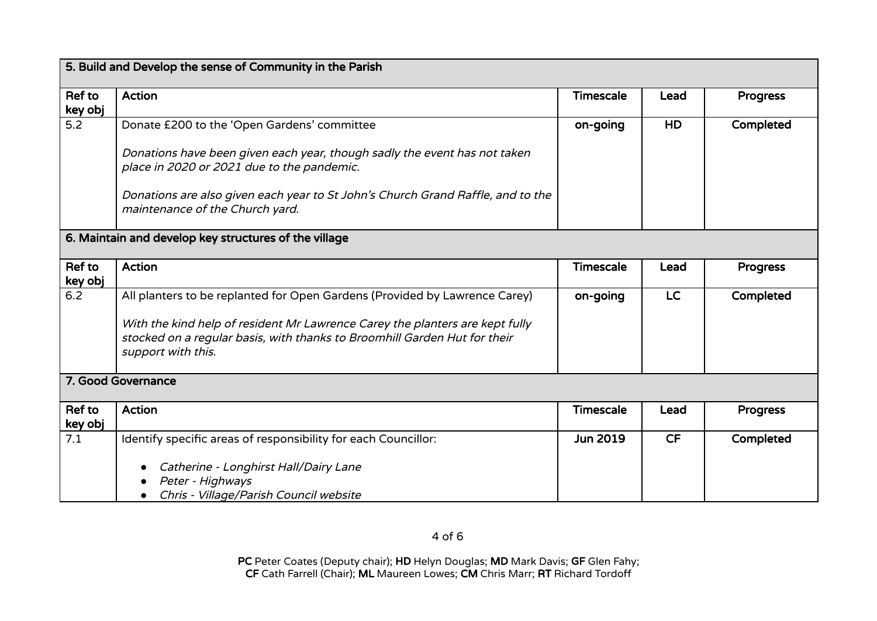| 5. Build and Develop the sense of Community in the Parish |                                                                                                                                                                                 |                  |           |                 |  |
|-----------------------------------------------------------|---------------------------------------------------------------------------------------------------------------------------------------------------------------------------------|------------------|-----------|-----------------|--|
| Ref to<br>key obj                                         | <b>Action</b>                                                                                                                                                                   | <b>Timescale</b> | Lead      | <b>Progress</b> |  |
| 5.2                                                       | Donate £200 to the 'Open Gardens' committee                                                                                                                                     | on-going         | HD        | Completed       |  |
|                                                           | Donations have been given each year, though sadly the event has not taken<br>place in 2020 or 2021 due to the pandemic.                                                         |                  |           |                 |  |
|                                                           | Donations are also given each year to St John's Church Grand Raffle, and to the<br>maintenance of the Church yard.                                                              |                  |           |                 |  |
| 6. Maintain and develop key structures of the village     |                                                                                                                                                                                 |                  |           |                 |  |
| Ref to<br>key obj                                         | <b>Action</b>                                                                                                                                                                   | <b>Timescale</b> | Lead      | <b>Progress</b> |  |
| 6.2                                                       | All planters to be replanted for Open Gardens (Provided by Lawrence Carey)                                                                                                      | on-going         | <b>LC</b> | Completed       |  |
|                                                           | With the kind help of resident Mr Lawrence Carey the planters are kept fully<br>stocked on a regular basis, with thanks to Broomhill Garden Hut for their<br>support with this. |                  |           |                 |  |
| 7. Good Governance                                        |                                                                                                                                                                                 |                  |           |                 |  |
| Ref to<br>key obj                                         | <b>Action</b>                                                                                                                                                                   | <b>Timescale</b> | Lead      | <b>Progress</b> |  |
| 7.1                                                       | Identify specific areas of responsibility for each Councillor:                                                                                                                  | <b>Jun 2019</b>  | <b>CF</b> | Completed       |  |
|                                                           | Catherine - Longhirst Hall/Dairy Lane<br>Peter - Highways<br>Chris - Village/Parish Council website<br>$\bullet$                                                                |                  |           |                 |  |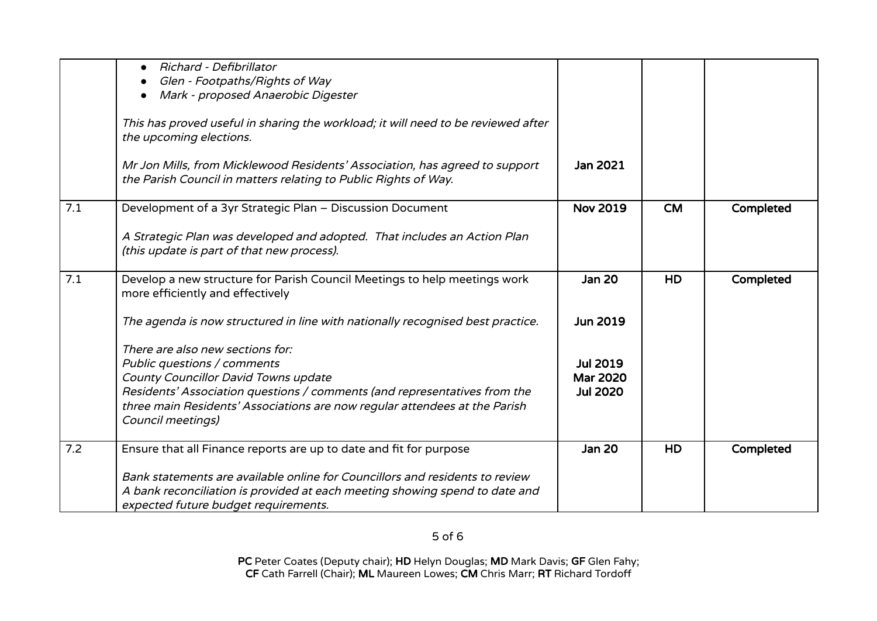|     | Richard - Defibrillator<br>$\bullet$<br>Glen - Footpaths/Rights of Way                                                                                                                                                                                                                  |                                                       |           |           |
|-----|-----------------------------------------------------------------------------------------------------------------------------------------------------------------------------------------------------------------------------------------------------------------------------------------|-------------------------------------------------------|-----------|-----------|
|     | Mark - proposed Anaerobic Digester<br>This has proved useful in sharing the workload; it will need to be reviewed after<br>the upcoming elections.                                                                                                                                      |                                                       |           |           |
|     | Mr Jon Mills, from Micklewood Residents' Association, has agreed to support<br>the Parish Council in matters relating to Public Rights of Way.                                                                                                                                          | Jan 2021                                              |           |           |
| 7.1 | Development of a 3yr Strategic Plan - Discussion Document                                                                                                                                                                                                                               | <b>Nov 2019</b>                                       | <b>CM</b> | Completed |
|     | A Strategic Plan was developed and adopted. That includes an Action Plan<br>(this update is part of that new process).                                                                                                                                                                  |                                                       |           |           |
| 7.1 | Develop a new structure for Parish Council Meetings to help meetings work<br>more efficiently and effectively                                                                                                                                                                           | <b>Jan 20</b>                                         | HD        | Completed |
|     | The agenda is now structured in line with nationally recognised best practice.                                                                                                                                                                                                          | <b>Jun 2019</b>                                       |           |           |
|     | There are also new sections for:<br>Public questions / comments<br>County Councillor David Towns update<br>Residents' Association questions / comments (and representatives from the<br>three main Residents' Associations are now regular attendees at the Parish<br>Council meetings) | <b>Jul 2019</b><br><b>Mar 2020</b><br><b>Jul 2020</b> |           |           |
| 7.2 | Ensure that all Finance reports are up to date and fit for purpose                                                                                                                                                                                                                      | <b>Jan 20</b>                                         | HD        | Completed |
|     | Bank statements are available online for Councillors and residents to review<br>A bank reconciliation is provided at each meeting showing spend to date and<br>expected future budget requirements.                                                                                     |                                                       |           |           |